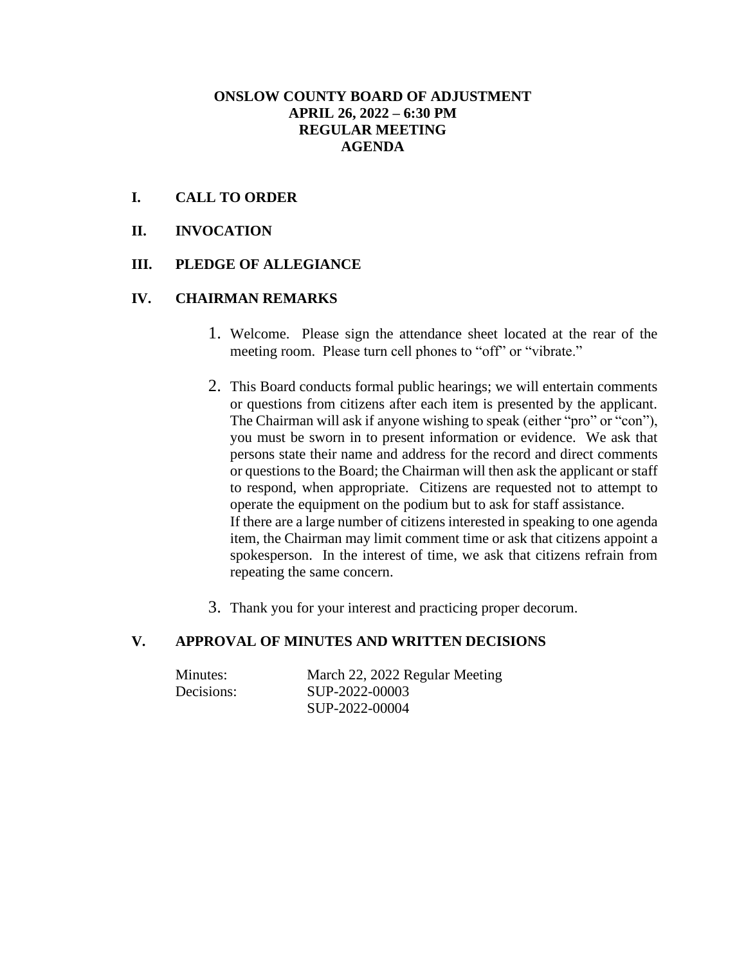### **ONSLOW COUNTY BOARD OF ADJUSTMENT APRIL 26, 2022 – 6:30 PM REGULAR MEETING AGENDA**

### **I. CALL TO ORDER**

**II. INVOCATION**

#### **III. PLEDGE OF ALLEGIANCE**

#### **IV. CHAIRMAN REMARKS**

- 1. Welcome. Please sign the attendance sheet located at the rear of the meeting room. Please turn cell phones to "off" or "vibrate."
- 2. This Board conducts formal public hearings; we will entertain comments or questions from citizens after each item is presented by the applicant. The Chairman will ask if anyone wishing to speak (either "pro" or "con"), you must be sworn in to present information or evidence. We ask that persons state their name and address for the record and direct comments or questions to the Board; the Chairman will then ask the applicant or staff to respond, when appropriate. Citizens are requested not to attempt to operate the equipment on the podium but to ask for staff assistance. If there are a large number of citizens interested in speaking to one agenda item, the Chairman may limit comment time or ask that citizens appoint a spokesperson. In the interest of time, we ask that citizens refrain from repeating the same concern.
- 3. Thank you for your interest and practicing proper decorum.

## **V. APPROVAL OF MINUTES AND WRITTEN DECISIONS**

| Minutes:   | March 22, 2022 Regular Meeting |
|------------|--------------------------------|
| Decisions: | SUP-2022-00003                 |
|            | SUP-2022-00004                 |